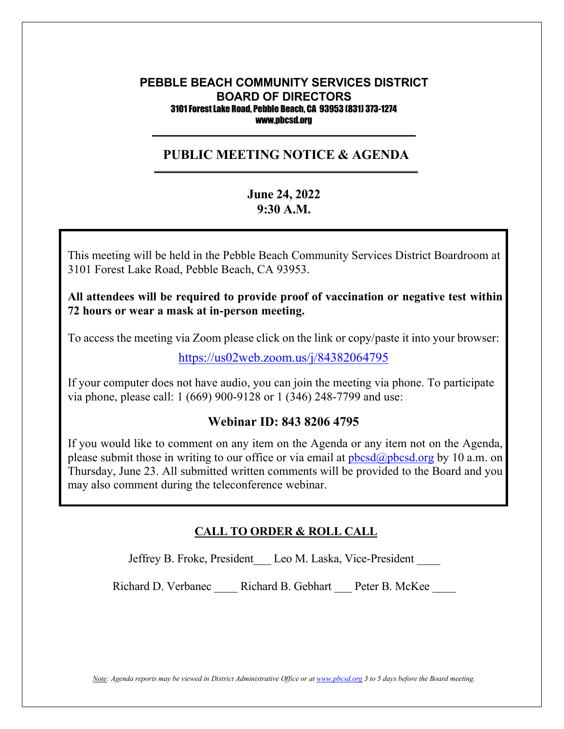#### **PEBBLE BEACH COMMUNITY SERVICES DISTRICT BOARD OF DIRECTORS** 3101 Forest Lake Road, Pebble Beach, CA 93953 (831) 373-1274 www.pbcsd.org  $\frac{1}{2}$  ,  $\frac{1}{2}$  ,  $\frac{1}{2}$  ,  $\frac{1}{2}$  ,  $\frac{1}{2}$  ,  $\frac{1}{2}$  ,  $\frac{1}{2}$  ,  $\frac{1}{2}$  ,  $\frac{1}{2}$  ,  $\frac{1}{2}$  ,  $\frac{1}{2}$  ,  $\frac{1}{2}$  ,  $\frac{1}{2}$  ,  $\frac{1}{2}$  ,  $\frac{1}{2}$  ,  $\frac{1}{2}$  ,  $\frac{1}{2}$  ,  $\frac{1}{2}$  ,  $\frac{1$

### **PUBLIC MEETING NOTICE & AGENDA \_\_\_\_\_\_\_\_\_\_\_\_\_\_\_\_\_\_\_\_\_\_\_\_\_\_\_\_\_\_\_\_\_\_\_\_\_\_\_\_\_\_\_\_\_\_\_\_\_\_\_\_\_\_\_\_\_\_\_**

# **June 24, 2022 9:30 A.M.**

 $C = \frac{1}{2}$  Pandemic and  $C = \frac{1}{2}$  **C**  $C = \frac{1}{2}$ 3101 Forest Lake Road, Pebble Beach, CA 93953. This meeting will be held in the Pebble Beach Community Services District Boardroom at

to keep the public safe, Pebble Beach Community District (PBCSD) will conduct its All attendees will be required to provide proof of vaccination or negative test within  $\tilde{a}$ **72 hours or wear a mask at in-person meeting.**

Access information will be provided in the final agenda at least three days prior to the final agenda at least three days prior to the final agenda at least three days prior to the final agenda at least three days prior t To access the meeting via Zoom please click on the link or copy/paste it into your browser:

<https://us02web.zoom.us/j/84382064795>

If your computer does not have audio, you can join the meeting via phone. To participate via phone, please call: 1 (669) 900-9128 or 1 (346) 248-7799 and use:

# **Webinar ID: 843 8206 4795**

If you would like to comment on any item on the Agenda or any item not on the Agenda, please submit those in writing to our office or via email at  $pbcsd(\omega pbcsd.org$  by 10 a.m. on Thursday, June 23. All submitted written comments will be provided to the Board and you may also comment during the teleconference webinar.

## **CALL TO ORDER & ROLL CALL**

Jeffrey B. Froke, President Leo M. Laska, Vice-President

Richard D. Verbanec \_\_\_\_ Richard B. Gebhart \_\_\_ Peter B. McKee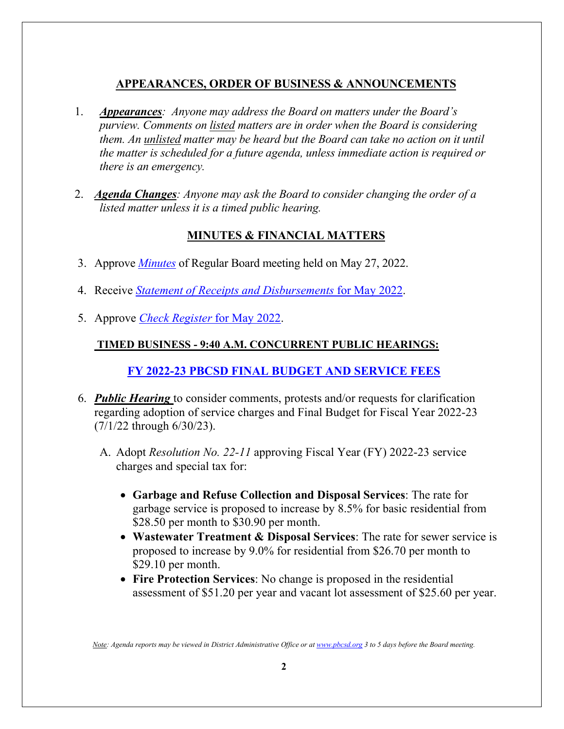# **APPEARANCES, ORDER OF BUSINESS & ANNOUNCEMENTS**

- 1. *Appearances: Anyone may address the Board on matters under the Board's purview. Comments on listed matters are in order when the Board is considering them. An unlisted matter may be heard but the Board can take no action on it until the matter is scheduled for a future agenda, unless immediate action is required or there is an emergency.*
- 2. *Agenda Changes: Anyone may ask the Board to consider changing the order of a listed matter unless it is a timed public hearing.*

# **MINUTES & FINANCIAL MATTERS**

- 3. Approve *[Minutes](https://pbcsd.org/wp-content/uploads/2022/06/03.-PBCSD-Draft-minutes-for-May-27-2022-Board-Meeting.pdf)* of Regular Board meeting held on May 27, 2022.
- 4. Receive *[Statement of Receipts and Disbursements](https://pbcsd.org/wp-content/uploads/2022/06/04.-Statement-of-Receipts-Disbursements-for-May-2022.pdf)* for May 2022.
- 5. Approve *[Check Register](https://pbcsd.org/wp-content/uploads/2022/06/05.-Check-Register-for-May-2022.pdf)* for May 2022.

## **TIMED BUSINESS - 9:40 A.M. CONCURRENT PUBLIC HEARINGS:**

# **FY 2022-23 [PBCSD FINAL BUDGET AND SERVICE FEES](https://pbcsd.org/wp-content/uploads/2022/06/06-FY-2021-22-PBCSD-Final-Budget-Services-Fees.pdf)**

- 6. *Public Hearing* to consider comments, protests and/or requests for clarification regarding adoption of service charges and Final Budget for Fiscal Year 2022-23 (7/1/22 through 6/30/23).
	- A. Adopt *Resolution No. 22-11* approving Fiscal Year (FY) 2022-23 service charges and special tax for:
		- **Garbage and Refuse Collection and Disposal Services**: The rate for garbage service is proposed to increase by 8.5% for basic residential from \$28.50 per month to \$30.90 per month.
		- **Wastewater Treatment & Disposal Services**: The rate for sewer service is proposed to increase by 9.0% for residential from \$26.70 per month to \$29.10 per month.
		- **Fire Protection Services**: No change is proposed in the residential assessment of \$51.20 per year and vacant lot assessment of \$25.60 per year.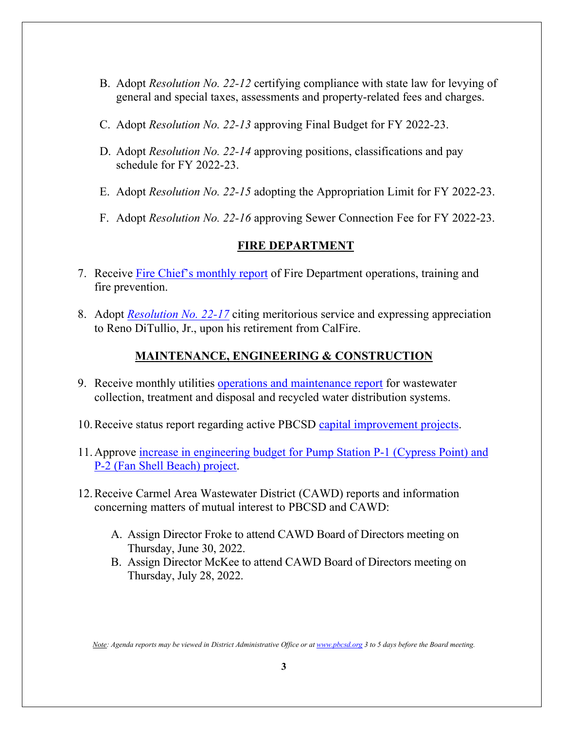- B. Adopt *Resolution No. 22-12* certifying compliance with state law for levying of general and special taxes, assessments and property-related fees and charges.
- C. Adopt *Resolution No. 22-13* approving Final Budget for FY 2022-23.
- D. Adopt *Resolution No. 22-14* approving positions, classifications and pay schedule for FY 2022-23.
- E. Adopt *Resolution No. 22-15* adopting the Appropriation Limit for FY 2022-23.
- F. Adopt *Resolution No. 22-16* approving Sewer Connection Fee for FY 2022-23.

### **FIRE DEPARTMENT**

- 7. Receive [Fire Chief's monthly report](https://pbcsd.org/wp-content/uploads/2022/06/07.-Fire-Chiefs-Monthly-Report.pdf) of Fire Department operations, training and fire prevention.
- 8. Adopt *[Resolution No. 22-17](https://pbcsd.org/wp-content/uploads/2022/06/08.-RES-22-17-Chief-DiTullio-Jr.-Retirement-Commendation.pdf)* citing meritorious service and expressing appreciation to Reno DiTullio, Jr., upon his retirement from CalFire.

## **MAINTENANCE, ENGINEERING & CONSTRUCTION**

- 9. Receive monthly utilities [operations and maintenance report](https://pbcsd.org/wp-content/uploads/2022/06/09.-Operations-Maintenance-Report.pdf) for wastewater collection, treatment and disposal and recycled water distribution systems.
- 10.Receive status report regarding active PBCSD [capital improvement projects.](https://pbcsd.org/wp-content/uploads/2022/06/10.-Capital-Improvement-Projects-Report.pdf)
- 11.Approve [increase in engineering budget for Pump Station P-1 \(Cypress Point\) and](https://pbcsd.org/wp-content/uploads/2022/06/11.-Amendment-to-Pump-Station-P-1-and-P-2-Rehabilitation-Project.pdf)  [P-2 \(Fan Shell Beach\) project.](https://pbcsd.org/wp-content/uploads/2022/06/11.-Amendment-to-Pump-Station-P-1-and-P-2-Rehabilitation-Project.pdf)
- 12.Receive Carmel Area Wastewater District (CAWD) reports and information concerning matters of mutual interest to PBCSD and CAWD:
	- A. Assign Director Froke to attend CAWD Board of Directors meeting on Thursday, June 30, 2022.
	- B. Assign Director McKee to attend CAWD Board of Directors meeting on Thursday, July 28, 2022.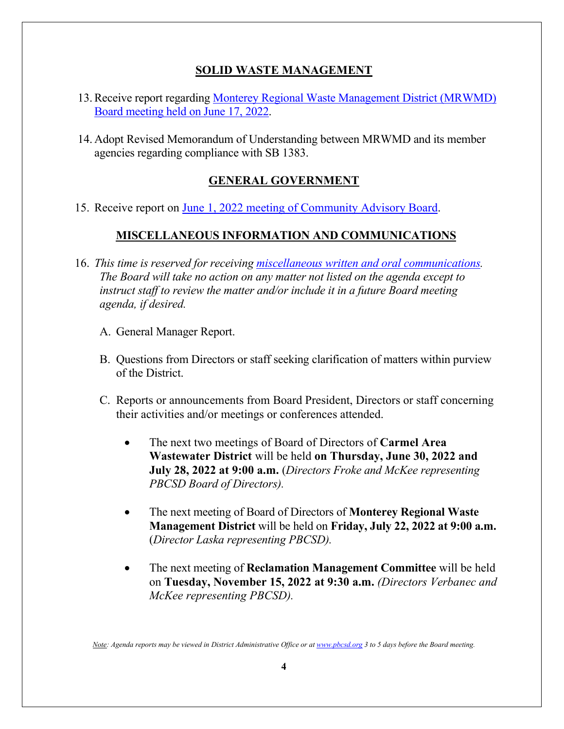# **SOLID WASTE MANAGEMENT**

- 13.Receive report regarding [Monterey Regional Waste Management District \(MRWMD\)](https://pbcsd.org/wp-content/uploads/2022/06/13.-MRWMD-Board-Meeting-Agenda-GM-Report-for-June-17-2022.pdf)  [Board meeting](https://pbcsd.org/wp-content/uploads/2022/06/13.-MRWMD-Board-Meeting-Agenda-GM-Report-for-June-17-2022.pdf) held on June 17, 2022.
- 14. Adopt Revised Memorandum of Understanding between MRWMD and its member agencies regarding compliance with SB 1383.

# **GENERAL GOVERNMENT**

15. Receive report on [June 1, 2022 meeting of Community Advisory Board.](https://pbcsd.org/wp-content/uploads/2022/06/15.-Community-Advisory-Board-Meeting-Minutes-for-June-1-2022.pdf)

## **MISCELLANEOUS INFORMATION AND COMMUNICATIONS**

- 16. *This time is reserved for receiving [miscellaneous written and oral communications.](https://pbcsd.org/wp-content/uploads/2022/06/16.-Miscellaneous.pdf) The Board will take no action on any matter not listed on the agenda except to instruct staff to review the matter and/or include it in a future Board meeting agenda, if desired.*
	- A. General Manager Report.
	- B. Questions from Directors or staff seeking clarification of matters within purview of the District.
	- C. Reports or announcements from Board President, Directors or staff concerning their activities and/or meetings or conferences attended.
		- The next two meetings of Board of Directors of **Carmel Area Wastewater District** will be held **on Thursday, June 30, 2022 and July 28, 2022 at 9:00 a.m.** (*Directors Froke and McKee representing PBCSD Board of Directors).*
		- The next meeting of Board of Directors of **Monterey Regional Waste Management District** will be held on **Friday, July 22, 2022 at 9:00 a.m.** (*Director Laska representing PBCSD).*
		- The next meeting of **Reclamation Management Committee** will be held on **Tuesday, November 15, 2022 at 9:30 a.m.** *(Directors Verbanec and McKee representing PBCSD).*